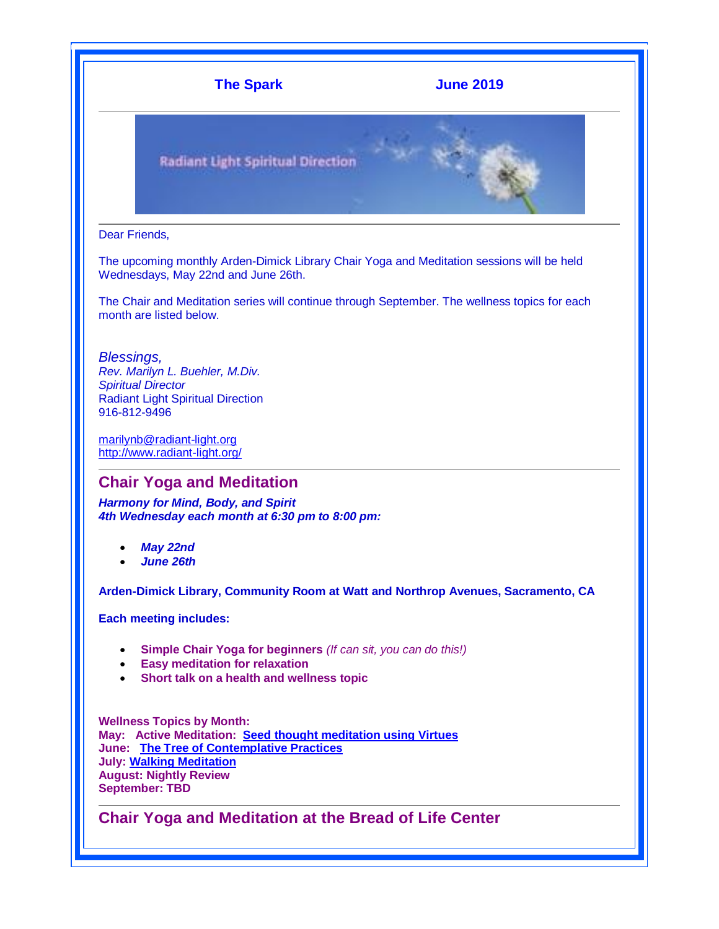

The upcoming monthly Arden-Dimick Library Chair Yoga and Meditation sessions will be held Wednesdays, May 22nd and June 26th.

The Chair and Meditation series will continue through September. The wellness topics for each month are listed below.

*Blessings,*

*Rev. Marilyn L. Buehler, M.Div. Spiritual Director* Radiant Light Spiritual Direction 916-812-9496

[marilynb@radiant-light.org](mailto:marilynb@radiant-light.org) [http://www.radiant-light.org/](http://cts.vresp.com/c/?RadiantLightSpiritua/8106ea0a4f/1b06b99551/15274298fe)

### **Chair Yoga and Meditation**

*Harmony for Mind, Body, and Spirit 4th Wednesday each month at 6:30 pm to 8:00 pm:*

- *May 22nd*
- *June 26th*

**Arden-Dimick Library, Community Room at Watt and Northrop Avenues, Sacramento, CA**

**Each meeting includes:**

- **Simple Chair Yoga for beginners** *(If can sit, you can do this!)*
- **Easy meditation for relaxation**
- **Short talk on a health and wellness topic**

**Wellness Topics by Month: May: Active Meditation: [Seed thought meditation](http://cts.vresp.com/c/?RadiantLightSpiritua/8106ea0a4f/1b06b99551/2d2cf1bef3/v=v0SJHCJQ6Zw) using Virtues June: [The Tree of Contemplative Practices](http://cts.vresp.com/c/?RadiantLightSpiritua/8106ea0a4f/1b06b99551/6429934a20) July: [Walking Meditation](http://cts.vresp.com/c/?RadiantLightSpiritua/8106ea0a4f/1b06b99551/553861108d/v=QdO1vZJgUu0) August: Nightly Review September: TBD**

**Chair Yoga and Meditation at the Bread of Life Center**